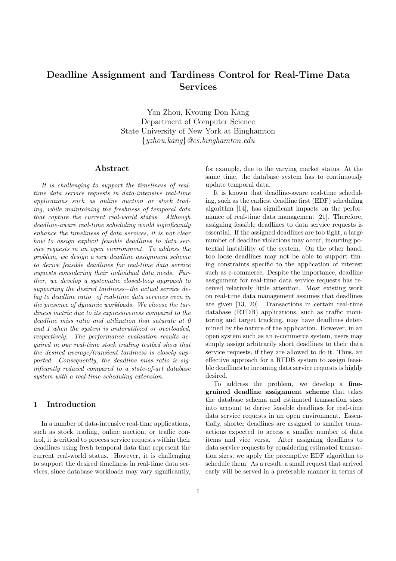# Deadline Assignment and Tardiness Control for Real-Time Data Services

Yan Zhou, Kyoung-Don Kang Department of Computer Science State University of New York at Binghamton {yzhou,kang}@cs.binghamton.edu

#### Abstract

It is challenging to support the timeliness of realtime data service requests in data-intensive real-time applications such as online auction or stock trading, while maintaining the freshness of temporal data that capture the current real-world status. Although deadline-aware real-time scheduling would significantly enhance the timeliness of data services, it is not clear how to assign explicit feasible deadlines to data service requests in an open environment. To address the problem, we design a new deadline assignment scheme to derive feasible deadlines for real-time data service requests considering their individual data needs. Further, we develop a systematic closed-loop approach to supporting the desired tardiness−the actual service delay to deadline ratio−of real-time data services even in the presence of dynamic workloads. We choose the tardiness metric due to its expressiveness compared to the deadline miss ratio and utilization that saturate at 0 and 1 when the system is underutilized or overloaded, respectively. The performance evaluation results acquired in our real-time stock trading testbed show that the desired average/transient tardiness is closely supported. Consequently, the deadline miss ratio is significantly reduced compared to a state-of-art database system with a real-time scheduling extension.

# 1 Introduction

In a number of data-intensive real-time applications, such as stock trading, online auction, or traffic control, it is critical to process service requests within their deadlines using fresh temporal data that represent the current real-world status. However, it is challenging to support the desired timeliness in real-time data services, since database workloads may vary significantly, for example, due to the varying market status. At the same time, the database system has to continuously update temporal data.

It is known that deadline-aware real-time scheduling, such as the earliest deadline first (EDF) scheduling algorithm [14], has significant impacts on the performance of real-time data management [21]. Therefore, assigning feasible deadlines to data service requests is essential. If the assigned deadlines are too tight, a large number of deadline violations may occur, incurring potential instability of the system. On the other hand, too loose deadlines may not be able to support timing constraints specific to the application of interest such as e-commerce. Despite the importance, deadline assignment for real-time data service requests has received relatively little attention. Most existing work on real-time data management assumes that deadlines are given [13, 20]. Transactions in certain real-time database (RTDB) applications, such as traffic monitoring and target tracking, may have deadlines determined by the nature of the application. However, in an open system such as an e-commerce system, users may simply assign arbitrarily short deadlines to their data service requests, if they are allowed to do it. Thus, an effective approach for a RTDB system to assign feasible deadlines to incoming data service requests is highly desired.

To address the problem, we develop a finegrained deadline assignment scheme that takes the database schema and estimated transaction sizes into account to derive feasible deadlines for real-time data service requests in an open environment. Essentially, shorter deadlines are assigned to smaller transactions expected to access a smaller number of data items and vice versa. After assigning deadlines to data service requests by considering estimated transaction sizes, we apply the preemptive EDF algorithm to schedule them. As a result, a small request that arrived early will be served in a preferable manner in terms of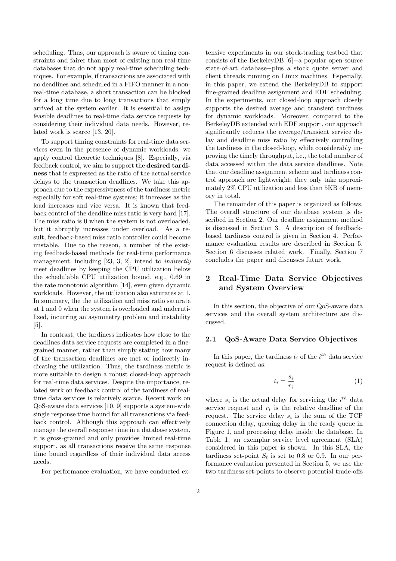scheduling. Thus, our approach is aware of timing constraints and fairer than most of existing non-real-time databases that do not apply real-time scheduling techniques. For example, if transactions are associated with no deadlines and scheduled in a FIFO manner in a nonreal-time database, a short transaction can be blocked for a long time due to long transactions that simply arrived at the system earlier. It is essential to assign feasible deadlines to real-time data service requests by considering their individual data needs. However, related work is scarce [13, 20].

To support timing constraints for real-time data services even in the presence of dynamic workloads, we apply control theoretic techniques [8]. Especially, via feedback control, we aim to support the desired tardiness that is expressed as the ratio of the actual service delays to the transaction deadlines. We take this approach due to the expressiveness of the tardiness metric especially for soft real-time systems; it increases as the load increases and vice versa. It is known that feedback control of the deadline miss ratio is very hard [17]. The miss ratio is 0 when the system is not overloaded, but it abruptly increases under overload. As a result, feedback-based miss ratio controller could become unstable. Due to the reason, a number of the existing feedback-based methods for real-time performance management, including [23, 3, 2], intend to *indirectly* meet deadlines by keeping the CPU utilization below the schedulable CPU utilization bound, e.g., 0.69 in the rate monotonic algorithm [14], even given dynamic workloads. However, the utilization also saturates at 1. In summary, the the utilization and miss ratio saturate at 1 and 0 when the system is overloaded and underutilized, incurring an asymmetry problem and instability [5].

In contrast, the tardiness indicates how close to the deadlines data service requests are completed in a finegrained manner, rather than simply stating how many of the transaction deadlines are met or indirectly indicating the utilization. Thus, the tardiness metric is more suitable to design a robust closed-loop approach for real-time data services. Despite the importance, related work on feedback control of the tardiness of realtime data services is relatively scarce. Recent work on QoS-aware data services [10, 9] supports a system-wide single response time bound for all transactions via feedback control. Although this approach can effectively manage the overall response time in a database system, it is gross-grained and only provides limited real-time support, as all transactions receive the same response time bound regardless of their individual data access needs.

For performance evaluation, we have conducted ex-

tensive experiments in our stock-trading testbed that consists of the BerkeleyDB [6]−a popular open-source state-of-art database−plus a stock quote server and client threads running on Linux machines. Especially, in this paper, we extend the BerkeleyDB to support fine-grained deadline assignment and EDF scheduling. In the experiments, our closed-loop approach closely supports the desired average and transient tardiness for dynamic workloads. Moreover, compared to the BerkeleyDB extended with EDF support, our approach significantly reduces the average/transient service delay and deadline miss ratio by effectively controlling the tardiness in the closed-loop, while considerably improving the timely throughput, i.e., the total number of data accessed within the data service deadlines. Note that our deadline assignment scheme and tardiness control approach are lightweight; they only take approximately 2% CPU utilization and less than 5KB of memory in total.

The remainder of this paper is organized as follows. The overall structure of our database system is described in Section 2. Our deadline assignment method is discussed in Section 3. A description of feedbackbased tardiness control is given in Section 4. Performance evaluation results are described in Section 5. Section 6 discusses related work. Finally, Section 7 concludes the paper and discusses future work.

# 2 Real-Time Data Service Objectives and System Overview

In this section, the objective of our QoS-aware data services and the overall system architecture are discussed.

# 2.1 QoS-Aware Data Service Objectives

In this paper, the tardiness  $t_i$  of the  $i^{th}$  data service request is defined as:

$$
t_i = \frac{s_i}{r_i} \tag{1}
$$

where  $s_i$  is the actual delay for servicing the  $i^{th}$  data service request and  $r_i$  is the relative deadline of the request. The service delay  $s_i$  is the sum of the TCP connection delay, queuing delay in the ready queue in Figure 1, and processing delay inside the database. In Table 1, an exemplar service level agreement (SLA) considered in this paper is shown. In this SLA, the tardiness set-point  $S_t$  is set to 0.8 or 0.9. In our performance evaluation presented in Section 5, we use the two tardiness set-points to observe potential trade-offs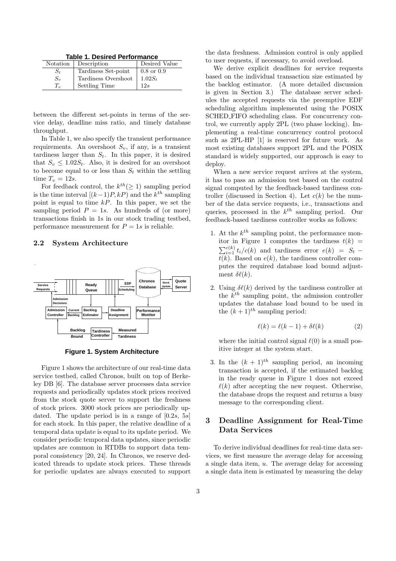**Table 1. Desired Performance**

| Notation    | Description         | Desired Value         |
|-------------|---------------------|-----------------------|
| $S_t$       | Tardiness Set-point | $0.8 \text{ or } 0.9$ |
| $S_{v}$     | Tardiness Overshoot | $1.02S_{t}$           |
| $T_{\rm n}$ | Settling Time       | 12s                   |

between the different set-points in terms of the service delay, deadline miss ratio, and timely database throughput.

In Table 1, we also specify the transient performance requirements. An overshoot  $S_v$ , if any, is a transient tardiness larger than  $S_t$ . In this paper, it is desired that  $S_v \leq 1.02S_t$ . Also, it is desired for an overshoot to become equal to or less than  $S_t$  within the settling time  $T_v = 12s$ .

For feedback control, the  $k^{th}(\geq 1)$  sampling period is the time interval  $[(k-1)P, kP]$  and the  $k^{th}$  sampling point is equal to time  $kP$ . In this paper, we set the sampling period  $P = 1s$ . As hundreds of (or more) transactions finish in 1s in our stock trading testbed, performance measurement for  $P = 1s$  is reliable.

#### 2.2 System Architecture



**Figure 1. System Architecture**

Figure 1 shows the architecture of our real-time data service testbed, called Chronos, built on top of Berkeley DB [6]. The database server processes data service requests and periodically updates stock prices received from the stock quote server to support the freshness of stock prices. 3000 stock prices are periodically updated. The update period is in a range of  $[0.2s, 5s]$ for each stock. In this paper, the relative deadline of a temporal data update is equal to its update period. We consider periodic temporal data updates, since periodic updates are common in RTDBs to support data temporal consistency [20, 24]. In Chronos, we reserve dedicated threads to update stock prices. These threads for periodic updates are always executed to support the data freshness. Admission control is only applied to user requests, if necessary, to avoid overload.

We derive explicit deadlines for service requests based on the individual transaction size estimated by the backlog estimator. (A more detailed discussion is given in Section 3.) The database server schedules the accepted requests via the preemptive EDF scheduling algorithm implemented using the POSIX SCHED FIFO scheduling class. For concurrency control, we currently apply 2PL (two phase locking). Implementing a real-time concurrency control protocol such as 2PL-HP [1] is reserved for future work. As most existing databases support 2PL and the POSIX standard is widely supported, our approach is easy to deploy.

When a new service request arrives at the system, it has to pass an admission test based on the control signal computed by the feedback-based tardiness controller (discussed in Section 4). Let  $c(k)$  be the number of the data service requests, i.e., transactions and queries, processed in the  $k^{th}$  sampling period. Our feedback-based tardiness controller works as follows:

- 1. At the  $k^{th}$  sampling point, the performance monitor in Figure 1 computes the tardiness  $t(k)$  =  $\sum_{i=1}^{c(k)} t_i/c(k)$  and tardiness error  $e(k) = S_t$  –  $\overline{t(k)}$ . Based on  $e(k)$ , the tardiness controller computes the required database load bound adjustment  $\delta\ell(k)$ .
- 2. Using  $\delta\ell(k)$  derived by the tardiness controller at the  $k^{th}$  sampling point, the admission controller updates the database load bound to be used in the  $(k+1)^{th}$  sampling period:

$$
\ell(k) = \ell(k-1) + \delta\ell(k) \tag{2}
$$

where the initial control signal  $\ell(0)$  is a small positive integer at the system start.

3. In the  $(k + 1)^{th}$  sampling period, an incoming transaction is accepted, if the estimated backlog in the ready queue in Figure 1 does not exceed  $\ell(k)$  after accepting the new request. Otherwise, the database drops the request and returns a busy message to the corresponding client.

# 3 Deadline Assignment for Real-Time Data Services

To derive individual deadlines for real-time data services, we first measure the average delay for accessing a single data item,  $u$ . The average delay for accessing a single data item is estimated by measuring the delay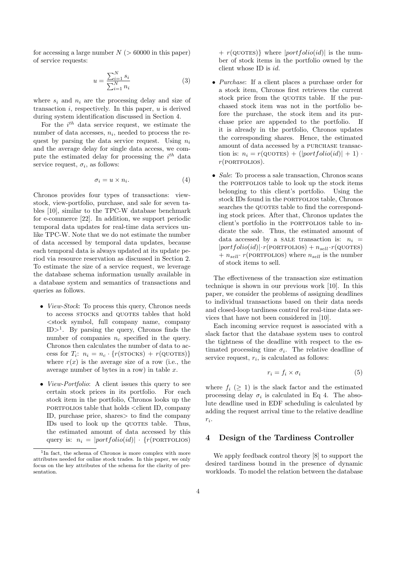for accessing a large number  $N > 60000$  in this paper) of service requests:

$$
u = \frac{\sum_{i=1}^{N} s_i}{\sum_{i=1}^{N} n_i}
$$
 (3)

where  $s_i$  and  $n_i$  are the processing delay and size of transaction  $i$ , respectively. In this paper,  $u$  is derived during system identification discussed in Section 4.

For the  $i^{th}$  data service request, we estimate the number of data accesses,  $n_i$ , needed to process the request by parsing the data service request. Using  $n_i$ and the average delay for single data access, we compute the estimated delay for processing the  $i^{th}$  data service request,  $\sigma_i$ , as follows:

$$
\sigma_i = u \times n_i. \tag{4}
$$

Chronos provides four types of transactions: viewstock, view-portfolio, purchase, and sale for seven tables [10], similar to the TPC-W database benchmark for e-commerce [22]. In addition, we support periodic temporal data updates for real-time data services unlike TPC-W. Note that we do not estimate the number of data accessed by temporal data updates, because each temporal data is always updated at its update period via resource reservation as discussed in Section 2. To estimate the size of a service request, we leverage the database schema information usually available in a database system and semantics of transactions and queries as follows.

- *View-Stock*: To process this query, Chronos needs to access STOCKS and QUOTES tables that hold <stock symbol, full company name, company  $ID ><sup>1</sup>$ . By parsing the query, Chronos finds the number of companies  $n_c$  specified in the query. Chronos then calculates the number of data to access for  $T_i$ :  $n_i = n_c \cdot \{r(\text{STOCKS}) + r(\text{QUOTES})\}$ where  $r(x)$  is the average size of a row (i.e., the average number of bytes in a row) in table  $x$ .
- *View-Portfolio*: A client issues this query to see certain stock prices in its portfolio. For each stock item in the portfolio, Chronos looks up the portfolios table that holds  $\langle$  client ID, company ID, purchase price, shares> to find the company IDs used to look up the QUOTES table. Thus, the estimated amount of data accessed by this query is:  $n_i = |portfolio(id)| \cdot \{r(\text{PORTFOLIOS})\}$

 $+ r(\text{QUOTES})$  where  $|portfolio(id)|$  is the number of stock items in the portfolio owned by the client whose ID is id.

- *Purchase*: If a client places a purchase order for a stock item, Chronos first retrieves the current stock price from the QUOTES table. If the purchased stock item was not in the portfolio before the purchase, the stock item and its purchase price are appended to the portfolio. If it is already in the portfolio, Chronos updates the corresponding shares. Hence, the estimated amount of data accessed by a purchase transaction is:  $n_i = r(\text{QUOTES}) + (|portfolio(id)| + 1)$ .  $r(PORTFOLIOS)$ .
- *Sale*: To process a sale transaction, Chronos scans the PORTFOLIOS table to look up the stock items belonging to this client's portfolio. Using the stock IDs found in the PORTFOLIOS table, Chronos searches the QUOTES table to find the corresponding stock prices. After that, Chronos updates the client's portfolio in the portfolios table to indicate the sale. Thus, the estimated amount of data accessed by a SALE transaction is:  $n_i =$  $|portfolio(id)| \cdot r(PORTFOLIOS) + n_{sell} \cdot r(QUOTES)$  $+ n_{sell} \cdot r(\text{PORTFOLIOS})$  where  $n_{sell}$  is the number of stock items to sell.

The effectiveness of the transaction size estimation technique is shown in our previous work [10]. In this paper, we consider the problems of assigning deadlines to individual transactions based on their data needs and closed-loop tardiness control for real-time data services that have not been considered in [10].

Each incoming service request is associated with a slack factor that the database system uses to control the tightness of the deadline with respect to the estimated processing time  $\sigma_i$ . The relative deadline of service request,  $r_i$ , is calculated as follows:

$$
r_i = f_i \times \sigma_i \tag{5}
$$

where  $f_i \geq 1$  is the slack factor and the estimated processing delay  $\sigma_i$  is calculated in Eq 4. The absolute deadline used in EDF scheduling is calculated by adding the request arrival time to the relative deadline  $r_i$ .

#### 4 Design of the Tardiness Controller

We apply feedback control theory [8] to support the desired tardiness bound in the presence of dynamic workloads. To model the relation between the database

<sup>&</sup>lt;sup>1</sup>In fact, the schema of Chronos is more complex with more attributes needed for online stock trades. In this paper, we only focus on the key attributes of the schema for the clarity of presentation.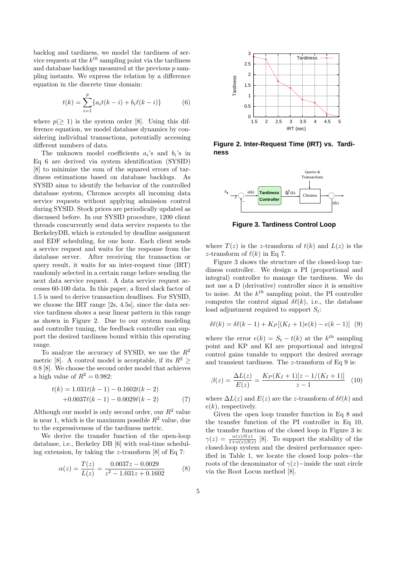backlog and tardiness, we model the tardiness of service requests at the  $k^{th}$  sampling point via the tardiness and database backlogs measured at the previous  $p$  sampling instants. We express the relation by a difference equation in the discrete time domain:

$$
t(k) = \sum_{i=1}^{p} \{a_i t(k-i) + b_i \ell(k-i)\}\tag{6}
$$

where  $p(> 1)$  is the system order [8]. Using this difference equation, we model database dynamics by considering individual transactions, potentially accessing different numbers of data.

The unknown model coefficients  $a_i$ 's and  $b_i$ 's in Eq 6 are derived via system identification (SYSID) [8] to minimize the sum of the squared errors of tardiness estimations based on database backlogs. As SYSID aims to identify the behavior of the controlled database system, Chronos accepts all incoming data service requests without applying admission control during SYSID. Stock prices are periodically updated as discussed before. In our SYSID procedure, 1200 client threads concurrently send data service requests to the BerkeleyDB, which is extended by deadline assignment and EDF scheduling, for one hour. Each client sends a service request and waits for the response from the database server. After receiving the transaction or query result, it waits for an inter-request time (IRT) randomly selected in a certain range before sending the next data service request. A data service request accesses 60-100 data. In this paper, a fixed slack factor of 1.5 is used to derive transaction deadlines. For SYSID, we choose the IRT range [2s, 4.5s], since the data service tardiness shows a near linear pattern in this range as shown in Figure 2. Due to our system modeling and controller tuning, the feedback controller can support the desired tardiness bound within this operating range.

To analyze the accuracy of SYSID, we use the  $R^2$ metric [8]. A control model is acceptable, if its  $R^2 \geq$ 0.8 [8]. We choose the second order model that achieves a high value of  $R^2 = 0.982$ :

$$
t(k) = 1.031t(k-1) - 0.1602t(k-2)
$$
  
+0.0037\ell(k-1) - 0.0029\ell(k-2) (7)

Although our model is only second order, our  $R^2$  value is near 1, which is the maximum possible  $R^2$  value, due to the expressiveness of the tardiness metric.

We derive the transfer function of the open-loop database, i.e., Berkeley DB [6] with real-time scheduling extension, by taking the z-transform [8] of Eq 7:

$$
\alpha(z) = \frac{T(z)}{L(z)} = \frac{0.0037z - 0.0029}{z^2 - 1.031z + 0.1602}
$$
 (8)



**Figure 2. Inter-Request Time (IRT) vs. Tardiness**



**Figure 3. Tardiness Control Loop**

where  $T(z)$  is the z-transform of  $t(k)$  and  $L(z)$  is the z-transform of  $\ell(k)$  in Eq 7.

Figure 3 shows the structure of the closed-loop tardiness controller. We design a PI (proportional and integral) controller to manage the tardiness. We do not use a D (derivative) controller since it is sensitive to noise. At the  $k^{th}$  sampling point, the PI controller computes the control signal  $\delta\ell(k)$ , i.e., the database load adjustment required to support  $S_t$ :

$$
\delta\ell(k) = \delta\ell(k-1) + K_P[(K_I + 1)e(k) - e(k-1)]
$$
 (9)

where the error  $e(k) = S_t - t(k)$  at the  $k^{th}$  sampling point and KP and KI are proportional and integral control gains tunable to support the desired average and transient tardiness. The z-transform of Eq 9 is:

$$
\beta(z) = \frac{\Delta L(z)}{E(z)} = \frac{K_P(K_I + 1)[z - 1/(K_I + 1)]}{z - 1} \tag{10}
$$

where  $\Delta L(z)$  and  $E(z)$  are the z-transform of  $\delta \ell(k)$  and  $e(k)$ , respectively.

Given the open loop transfer function in Eq 8 and the transfer function of the PI controller in Eq 10, the transfer function of the closed loop in Figure 3 is:  $\gamma(z) = \frac{\alpha(z)\beta(z)}{1+\alpha(z)\beta(z)}$  [8]. To support the stability of the closed-loop system and the desired performance specified in Table 1, we locate the closed loop poles−the roots of the denominator of  $\gamma(z)$ −inside the unit circle via the Root Locus method [8].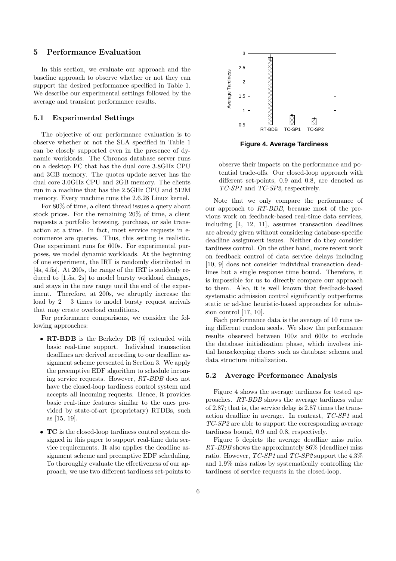#### 5 Performance Evaluation

In this section, we evaluate our approach and the baseline approach to observe whether or not they can support the desired performance specified in Table 1. We describe our experimental settings followed by the average and transient performance results.

#### 5.1 Experimental Settings

The objective of our performance evaluation is to observe whether or not the SLA specified in Table 1 can be closely supported even in the presence of dynamic workloads. The Chronos database server runs on a desktop PC that has the dual core 3.8GHz CPU and 3GB memory. The quotes update server has the dual core 3.0GHz CPU and 2GB memory. The clients run in a machine that has the 2.5GHz CPU and 512M memory. Every machine runs the 2.6.28 Linux kernel.

For 80% of time, a client thread issues a query about stock prices. For the remaining 20% of time, a client requests a portfolio browsing, purchase, or sale transaction at a time. In fact, most service requests in ecommerce are queries. Thus, this setting is realistic. One experiment runs for 600s. For experimental purposes, we model dynamic workloads. At the beginning of one experiment, the IRT is randomly distributed in [4s, 4.5s]. At 200s, the range of the IRT is suddenly reduced to [1.5s, 2s] to model bursty workload changes, and stays in the new range until the end of the experiment. Therefore, at 200s, we abruptly increase the load by  $2 - 3$  times to model bursty request arrivals that may create overload conditions.

For performance comparisons, we consider the following approaches:

- RT-BDB is the Berkeley DB [6] extended with basic real-time support. Individual transaction deadlines are derived according to our deadline assignment scheme presented in Section 3. We apply the preemptive EDF algorithm to schedule incoming service requests. However, RT-BDB does not have the closed-loop tardiness control system and accepts all incoming requests. Hence, it provides basic real-time features similar to the ones provided by state-of-art (proprietary) RTDBs, such as [15, 19].
- **TC** is the closed-loop tardiness control system designed in this paper to support real-time data service requirements. It also applies the deadline assignment scheme and preemptive EDF scheduling. To thoroughly evaluate the effectiveness of our approach, we use two different tardiness set-points to



**Figure 4. Average Tardiness**

observe their impacts on the performance and potential trade-offs. Our closed-loop approach with different set-points, 0.9 and 0.8, are denoted as TC-SP1 and TC-SP2, respectively.

Note that we only compare the performance of our approach to RT-BDB, because most of the previous work on feedback-based real-time data services, including [4, 12, 11], assumes transaction deadlines are already given without considering database-specific deadline assignment issues. Neither do they consider tardiness control. On the other hand, more recent work on feedback control of data service delays including [10, 9] does not consider individual transaction deadlines but a single response time bound. Therefore, it is impossible for us to directly compare our approach to them. Also, it is well known that feedback-based systematic admission control significantly outperforms static or ad-hoc heuristic-based approaches for admission control [17, 10].

Each performance data is the average of 10 runs using different random seeds. We show the performance results observed between 100s and 600s to exclude the database initialization phase, which involves initial housekeeping chores such as database schema and data structure initialization.

#### 5.2 Average Performance Analysis

Figure 4 shows the average tardiness for tested approaches. RT-BDB shows the average tardiness value of 2.87; that is, the service delay is 2.87 times the transaction deadline in average. In contrast, TC-SP1 and TC-SP2 are able to support the corresponding average tardiness bound, 0.9 and 0.8, respectively.

Figure 5 depicts the average deadline miss ratio.  $RT-BDB$  shows the approximately  $86\%$  (deadline) miss ratio. However,  $TC\text{-}SP1$  and  $TC\text{-}SP2$  support the 4.3% and 1.9% miss ratios by systematically controlling the tardiness of service requests in the closed-loop.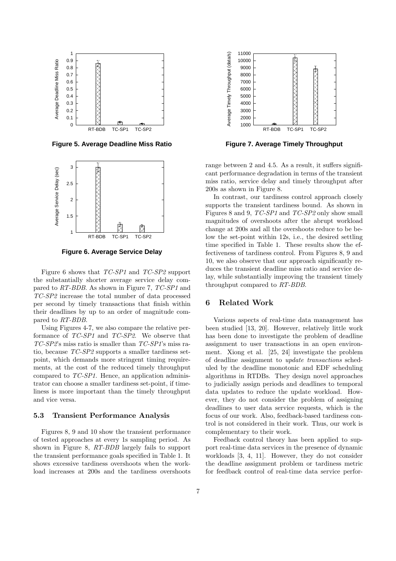

**Figure 5. Average Deadline Miss Ratio**



**Figure 6. Average Service Delay**

Figure 6 shows that TC-SP1 and TC-SP2 support the substantially shorter average service delay compared to RT-BDB. As shown in Figure 7, TC-SP1 and TC-SP2 increase the total number of data processed per second by timely transactions that finish within their deadlines by up to an order of magnitude compared to RT-BDB.

Using Figures 4-7, we also compare the relative performance of TC-SP1 and TC-SP2. We observe that TC-SP2's miss ratio is smaller than TC-SP1's miss ratio, because TC-SP2 supports a smaller tardiness setpoint, which demands more stringent timing requirements, at the cost of the reduced timely throughput compared to TC-SP1. Hence, an application administrator can choose a smaller tardiness set-point, if timeliness is more important than the timely throughput and vice versa.

#### 5.3 Transient Performance Analysis

Figures 8, 9 and 10 show the transient performance of tested approaches at every 1s sampling period. As shown in Figure 8, RT-BDB largely fails to support the transient performance goals specified in Table 1. It shows excessive tardiness overshoots when the workload increases at 200s and the tardiness overshoots



**Figure 7. Average Timely Throughput**

range between 2 and 4.5. As a result, it suffers significant performance degradation in terms of the transient miss ratio, service delay and timely throughput after 200s as shown in Figure 8.

In contrast, our tardiness control approach closely supports the transient tardiness bound. As shown in Figures 8 and 9, TC-SP1 and TC-SP2 only show small magnitudes of overshoots after the abrupt workload change at 200s and all the overshoots reduce to be below the set-point within 12s, i.e., the desired settling time specified in Table 1. These results show the effectiveness of tardiness control. From Figures 8, 9 and 10, we also observe that our approach significantly reduces the transient deadline miss ratio and service delay, while substantially improving the transient timely throughput compared to RT-BDB.

#### 6 Related Work

Various aspects of real-time data management has been studied [13, 20]. However, relatively little work has been done to investigate the problem of deadline assignment to user transactions in an open environment. Xiong et al. [25, 24] investigate the problem of deadline assignment to update transactions scheduled by the deadline monotonic and EDF scheduling algorithms in RTDBs. They design novel approaches to judicially assign periods and deadlines to temporal data updates to reduce the update workload. However, they do not consider the problem of assigning deadlines to user data service requests, which is the focus of our work. Also, feedback-based tardiness control is not considered in their work. Thus, our work is complementary to their work.

Feedback control theory has been applied to support real-time data services in the presence of dynamic workloads [3, 4, 11]. However, they do not consider the deadline assignment problem or tardiness metric for feedback control of real-time data service perfor-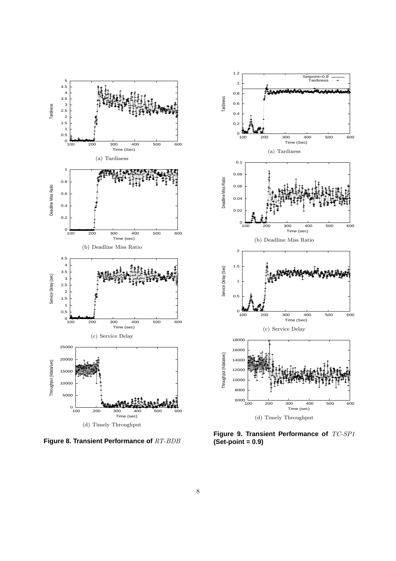

**Figure 8. Transient Performance of** RT-BDB



**Figure 9. Transient Performance of** TC-SP1 **(Set-point = 0.9)**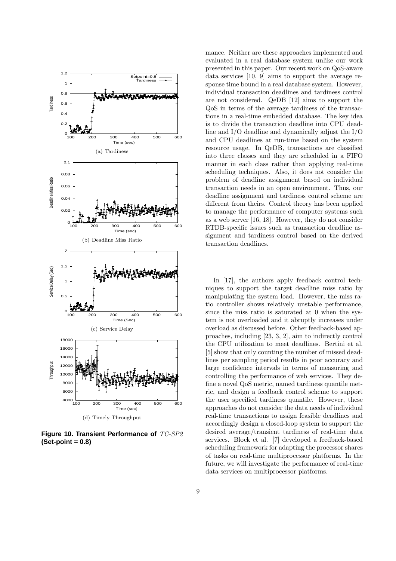

**Figure 10. Transient Performance of** TC-SP2 **(Set-point = 0.8)**

mance. Neither are these approaches implemented and evaluated in a real database system unlike our work presented in this paper. Our recent work on QoS-aware data services [10, 9] aims to support the average response time bound in a real database system. However, individual transaction deadlines and tardiness control are not considered. QeDB [12] aims to support the QoS in terms of the average tardiness of the transactions in a real-time embedded database. The key idea is to divide the transaction deadline into CPU deadline and I/O deadline and dynamically adjust the I/O and CPU deadlines at run-time based on the system resource usage. In QeDB, transactions are classified into three classes and they are scheduled in a FIFO manner in each class rather than applying real-time scheduling techniques. Also, it does not consider the problem of deadline assignment based on individual transaction needs in an open environment. Thus, our deadline assignment and tardiness control scheme are different from theirs. Control theory has been applied to manage the performance of computer systems such as a web server [16, 18]. However, they do not consider RTDB-specific issues such as transaction deadline assignment and tardiness control based on the derived transaction deadlines.

In [17], the authors apply feedback control techniques to support the target deadline miss ratio by manipulating the system load. However, the miss ratio controller shows relatively unstable performance, since the miss ratio is saturated at 0 when the system is not overloaded and it abruptly increases under overload as discussed before. Other feedback-based approaches, including [23, 3, 2], aim to indirectly control the CPU utilization to meet deadlines. Bertini et al. [5] show that only counting the number of missed deadlines per sampling period results in poor accuracy and large confidence intervals in terms of measuring and controlling the performance of web services. They define a novel QoS metric, named tardiness quantile metric, and design a feedback control scheme to support the user specified tardiness quantile. However, these approaches do not consider the data needs of individual real-time transactions to assign feasible deadlines and accordingly design a closed-loop system to support the desired average/transient tardiness of real-time data services. Block et al. [7] developed a feedback-based scheduling framework for adapting the processor shares of tasks on real-time multiprocessor platforms. In the future, we will investigate the performance of real-time data services on multiprocessor platforms.